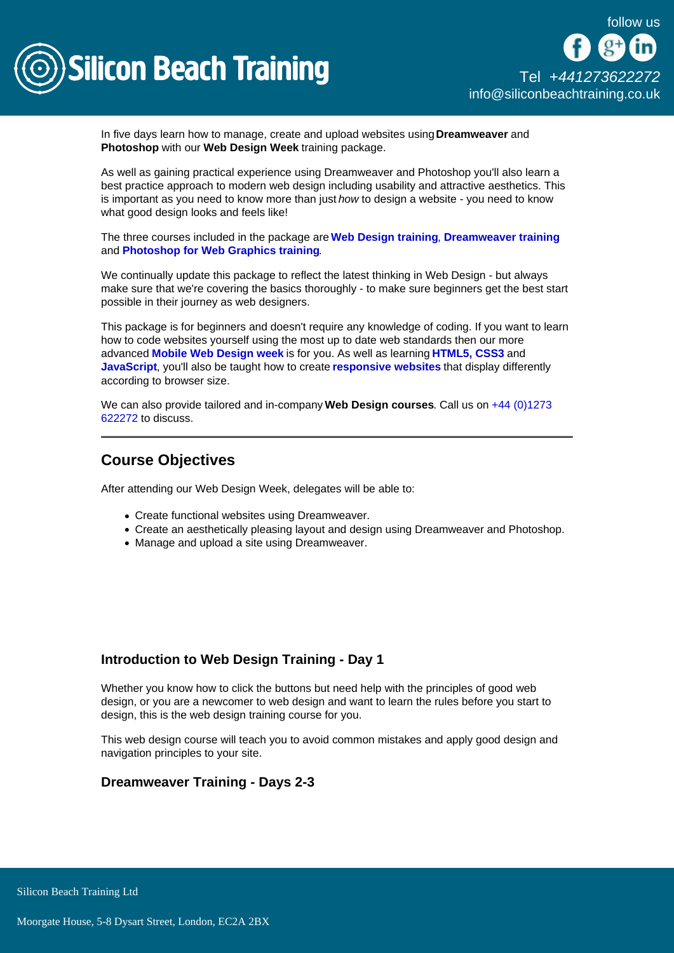

In five days learn how to manage, create and upload websites using Dreamweaver and Photoshop with our Web Design Week training package.

As well as gaining practical experience using Dreamweaver and Photoshop you'll also learn a best practice approach to modern web design including usability and attractive aesthetics. This is important as you need to know more than just how to design a website - you need to know what good design looks and feels like!

The three courses included in the package are [Web Design training](/web-design-training/web-design) , [Dreamweaver training](/web-design-training/dreamweaver) and [Photoshop for Web Graphics training](/web-design-training/photoshop-for-web-graphics) .

We continually update this package to reflect the latest thinking in Web Design - but always make sure that we're covering the basics thoroughly - to make sure beginners get the best start possible in their journey as web designers.

This package is for beginners and doesn't require any knowledge of coding. If you want to learn how to code websites yourself using the most up to date web standards then our more advanced [Mobile Web Design week](/mobile-development-training/mobile-web-design-course-week) is for you. As well as learning [HTML5, CSS3](/web-design-training/html5-css3-training) and [JavaScript](/programming-training/javascript-training) , you'll also be taught how to create [responsive websites](/mobile-development-training/responsive-web-design-training) that display differently according to browser size.

We can also provide tailored and in-company Web Design courses. Call us on +44 (0)1273 [622272](tel:441273622272) to discuss.

## Course Objectives

After attending our Web Design Week, delegates will be able to:

- Create functional websites using Dreamweaver.
- Create an aesthetically pleasing layout and design using Dreamweaver and Photoshop.
- Manage and upload a site using Dreamweaver.

## Introduction to Web Design Training - Day 1

Whether you know how to click the buttons but need help with the principles of good web design, or you are a newcomer to web design and want to learn the rules before you start to design, this is the web design training course for you.

This web design course will teach you to avoid common mistakes and apply good design and navigation principles to your site.

Dreamweaver Training - Days 2-3